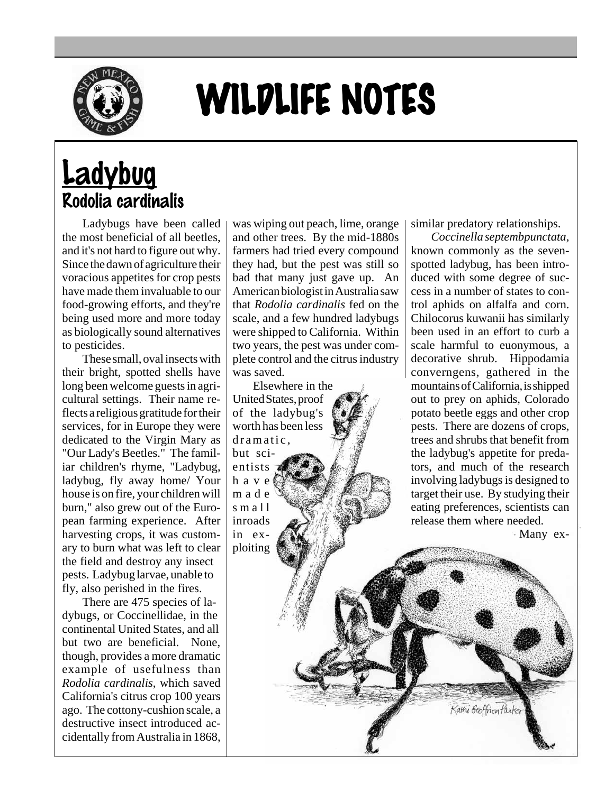

## WILDLIFE NOTES

## **Ladybug** Rodolia cardinalis

Ladybugs have been called the most beneficial of all beetles, and it's not hard to figure out why. Since the dawn of agriculture their voracious appetites for crop pests have made them invaluable to our food-growing efforts, and they're being used more and more today as biologically sound alternatives to pesticides.

These small, oval insects with their bright, spotted shells have long been welcome guests in agricultural settings. Their name reflects a religious gratitude for their services, for in Europe they were dedicated to the Virgin Mary as "Our Lady's Beetles." The familiar children's rhyme, "Ladybug, ladybug, fly away home/ Your house is on fire, your children will burn," also grew out of the European farming experience. After harvesting crops, it was customary to burn what was left to clear the field and destroy any insect pests. Ladybug larvae, unable to fly, also perished in the fires.

There are 475 species of ladybugs, or Coccinellidae, in the continental United States, and all but two are beneficial. None, though, provides a more dramatic example of usefulness than *Rodolia cardinalis*, which saved California's citrus crop 100 years ago. The cottony-cushion scale, a destructive insect introduced accidentally from Australia in 1868,

was wiping out peach, lime, orange and other trees. By the mid-1880s farmers had tried every compound they had, but the pest was still so bad that many just gave up. An American biologist in Australia saw that *Rodolia cardinalis* fed on the scale, and a few hundred ladybugs were shipped to California. Within two years, the pest was under complete control and the citrus industry was saved.

Elsewhere in the United States, proof of the ladybug's worth has been less dramatic, but scientists

have made small inroads in exploiting similar predatory relationships.

*Coccinella septembpunctata*, known commonly as the sevenspotted ladybug, has been introduced with some degree of success in a number of states to control aphids on alfalfa and corn. Chilocorus kuwanii has similarly been used in an effort to curb a scale harmful to euonymous, a decorative shrub. Hippodamia converngens, gathered in the mountains of California, is shipped out to prey on aphids, Colorado potato beetle eggs and other crop pests. There are dozens of crops, trees and shrubs that benefit from the ladybug's appetite for predators, and much of the research involving ladybugs is designed to target their use. By studying their eating preferences, scientists can release them where needed.

Kathi Geoffrion Parke

Many ex-